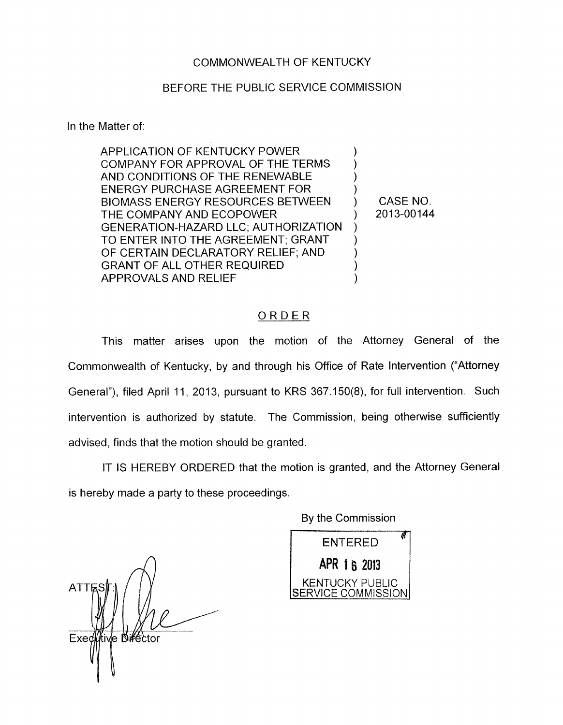## COMMONWEALTH OF KENTUCKY

## BEFORE THE PUBLIC SERVICE COMMISSION

In the Matter of:

APPLICATION OF KENTUCKY POWER COMPANY FOR APPROVAL OF THE TERMS AND CONDITIONS OF THE RENEWABLE ENERGY PURCHASE AGREEMENT FOR ) BIOMASS ENERGY RESOURCES BETWEEN ) CASE NO. THE COMPANY AND ECOPOWER (2013-00144 GENERATION-HAZARD LLC; AUTHORIZATION TO ENTER INTO THE AGREEMENT; GRANT OF CERTAIN DECLARATORY RELIEF; AND 1 GRANT OF ALL OTHER REQUIRED ) APPROVALS AND RELIEF ) ) )

## ORDER

This matter arises upon the motion of the Attorney General of the Commonwealth of Kentucky, by and through his Office of Rate Intervention ("Attorney General"), filed April 11, 2013, pursuant to KRS 367.150(8), for full intervention. Such intervention is authorized by statute. The Commission, being otherwise sufficiently advised, finds that the motion should be granted.

IT IS HEREBY ORDERED that the motion is granted, and the Attorney General is hereby made a party to these proceedings.

By the Commission

**ENTERED** APR 1 6 2013 **KENTUCKY PUBLIC** SERVICE COMMISSION

*n* **ATT** Exed tive Diffector